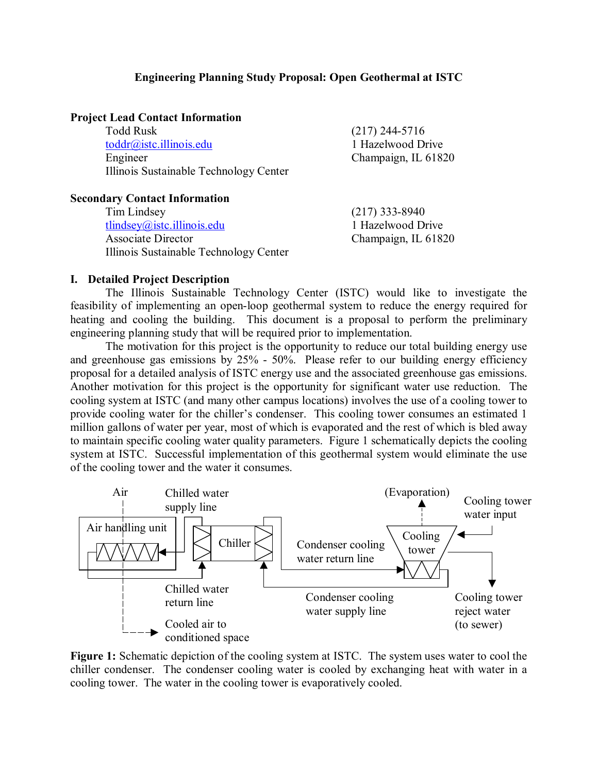#### **Engineering Planning Study Proposal: Open Geothermal at ISTC**

#### **Project Lead Contact Information**

 Todd Rusk (217) 244-5716 toddr@istc.illinois.edu 1 Hazelwood Drive Engineer Champaign, IL 61820 Illinois Sustainable Technology Center

#### **Secondary Contact Information**

Tim Lindsey (217) 333-8940 tlindsey@istc.illinois.edu 1 Hazelwood Drive Associate Director Champaign, IL 61820 Illinois Sustainable Technology Center

#### **I. Detailed Project Description**

The Illinois Sustainable Technology Center (ISTC) would like to investigate the feasibility of implementing an open-loop geothermal system to reduce the energy required for heating and cooling the building. This document is a proposal to perform the preliminary engineering planning study that will be required prior to implementation.

The motivation for this project is the opportunity to reduce our total building energy use and greenhouse gas emissions by 25% - 50%. Please refer to our building energy efficiency proposal for a detailed analysis of ISTC energy use and the associated greenhouse gas emissions. Another motivation for this project is the opportunity for significant water use reduction. The cooling system at ISTC (and many other campus locations) involves the use of a cooling tower to provide cooling water for the chiller's condenser. This cooling tower consumes an estimated 1 million gallons of water per year, most of which is evaporated and the rest of which is bled away to maintain specific cooling water quality parameters. Figure 1 schematically depicts the cooling system at ISTC. Successful implementation of this geothermal system would eliminate the use of the cooling tower and the water it consumes.



**Figure 1:** Schematic depiction of the cooling system at ISTC. The system uses water to cool the chiller condenser. The condenser cooling water is cooled by exchanging heat with water in a cooling tower. The water in the cooling tower is evaporatively cooled.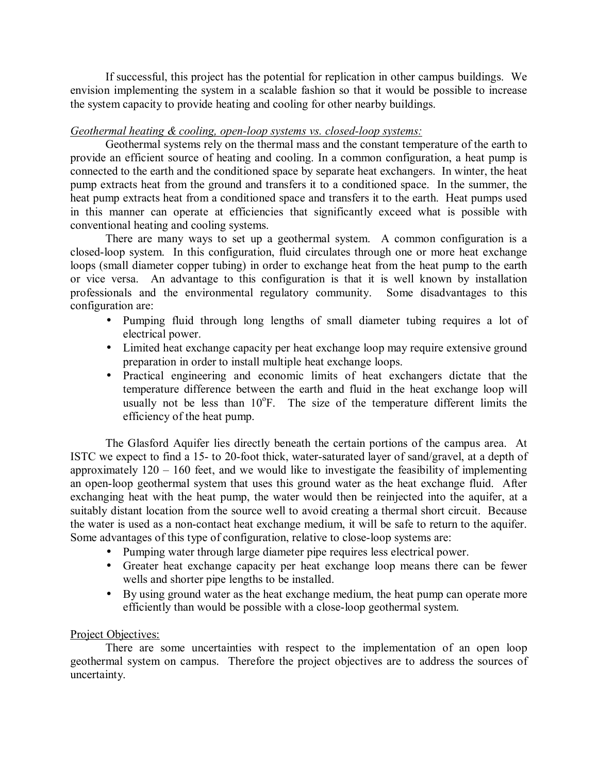If successful, this project has the potential for replication in other campus buildings. We envision implementing the system in a scalable fashion so that it would be possible to increase the system capacity to provide heating and cooling for other nearby buildings.

### *Geothermal heating & cooling, open-loop systems vs. closed-loop systems:*

Geothermal systems rely on the thermal mass and the constant temperature of the earth to provide an efficient source of heating and cooling. In a common configuration, a heat pump is connected to the earth and the conditioned space by separate heat exchangers. In winter, the heat pump extracts heat from the ground and transfers it to a conditioned space. In the summer, the heat pump extracts heat from a conditioned space and transfers it to the earth. Heat pumps used in this manner can operate at efficiencies that significantly exceed what is possible with conventional heating and cooling systems.

There are many ways to set up a geothermal system. A common configuration is a closed-loop system. In this configuration, fluid circulates through one or more heat exchange loops (small diameter copper tubing) in order to exchange heat from the heat pump to the earth or vice versa. An advantage to this configuration is that it is well known by installation professionals and the environmental regulatory community. Some disadvantages to this configuration are:

- Pumping fluid through long lengths of small diameter tubing requires a lot of electrical power.
- Limited heat exchange capacity per heat exchange loop may require extensive ground preparation in order to install multiple heat exchange loops.
- Practical engineering and economic limits of heat exchangers dictate that the temperature difference between the earth and fluid in the heat exchange loop will usually not be less than 10°F. The size of the temperature different limits the efficiency of the heat pump.

The Glasford Aquifer lies directly beneath the certain portions of the campus area. At ISTC we expect to find a 15- to 20-foot thick, water-saturated layer of sand/gravel, at a depth of approximately  $120 - 160$  feet, and we would like to investigate the feasibility of implementing an open-loop geothermal system that uses this ground water as the heat exchange fluid. After exchanging heat with the heat pump, the water would then be reinjected into the aquifer, at a suitably distant location from the source well to avoid creating a thermal short circuit. Because the water is used as a non-contact heat exchange medium, it will be safe to return to the aquifer. Some advantages of this type of configuration, relative to close-loop systems are:

- Pumping water through large diameter pipe requires less electrical power.
- Greater heat exchange capacity per heat exchange loop means there can be fewer wells and shorter pipe lengths to be installed.
- By using ground water as the heat exchange medium, the heat pump can operate more efficiently than would be possible with a close-loop geothermal system.

#### Project Objectives:

There are some uncertainties with respect to the implementation of an open loop geothermal system on campus. Therefore the project objectives are to address the sources of uncertainty.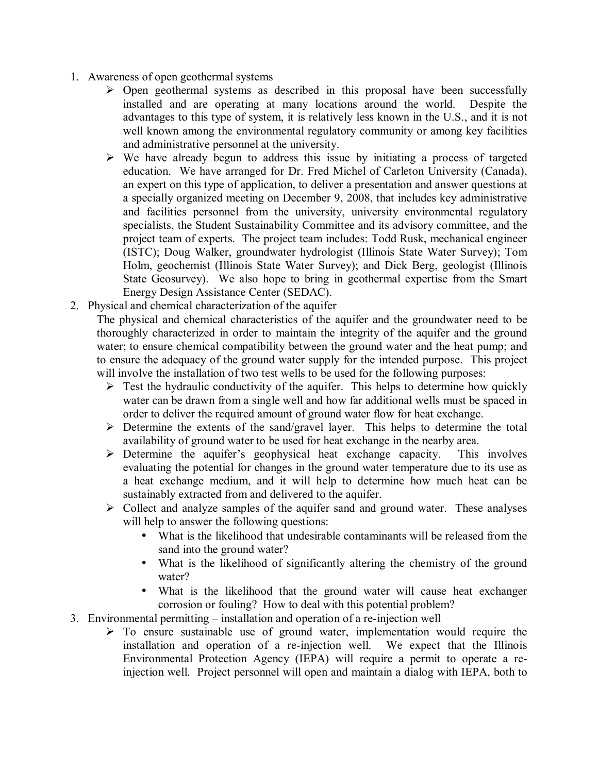- 1. Awareness of open geothermal systems
	- $\triangleright$  Open geothermal systems as described in this proposal have been successfully installed and are operating at many locations around the world. Despite the advantages to this type of system, it is relatively less known in the U.S., and it is not well known among the environmental regulatory community or among key facilities and administrative personnel at the university.
	- $\triangleright$  We have already begun to address this issue by initiating a process of targeted education. We have arranged for Dr. Fred Michel of Carleton University (Canada), an expert on this type of application, to deliver a presentation and answer questions at a specially organized meeting on December 9, 2008, that includes key administrative and facilities personnel from the university, university environmental regulatory specialists, the Student Sustainability Committee and its advisory committee, and the project team of experts. The project team includes: Todd Rusk, mechanical engineer (ISTC); Doug Walker, groundwater hydrologist (Illinois State Water Survey); Tom Holm, geochemist (Illinois State Water Survey); and Dick Berg, geologist (Illinois State Geosurvey). We also hope to bring in geothermal expertise from the Smart Energy Design Assistance Center (SEDAC).
- 2. Physical and chemical characterization of the aquifer

The physical and chemical characteristics of the aquifer and the groundwater need to be thoroughly characterized in order to maintain the integrity of the aquifer and the ground water; to ensure chemical compatibility between the ground water and the heat pump; and to ensure the adequacy of the ground water supply for the intended purpose. This project will involve the installation of two test wells to be used for the following purposes:

- $\triangleright$  Test the hydraulic conductivity of the aquifer. This helps to determine how quickly water can be drawn from a single well and how far additional wells must be spaced in order to deliver the required amount of ground water flow for heat exchange.
- $\triangleright$  Determine the extents of the sand/gravel layer. This helps to determine the total availability of ground water to be used for heat exchange in the nearby area.
- $\triangleright$  Determine the aquifer's geophysical heat exchange capacity. This involves evaluating the potential for changes in the ground water temperature due to its use as a heat exchange medium, and it will help to determine how much heat can be sustainably extracted from and delivered to the aquifer.
- $\triangleright$  Collect and analyze samples of the aquifer sand and ground water. These analyses will help to answer the following questions:
	- What is the likelihood that undesirable contaminants will be released from the sand into the ground water?
	- What is the likelihood of significantly altering the chemistry of the ground water?
	- What is the likelihood that the ground water will cause heat exchanger corrosion or fouling? How to deal with this potential problem?
- 3. Environmental permitting  $-$  installation and operation of a re-injection well
	- $\triangleright$  To ensure sustainable use of ground water, implementation would require the installation and operation of a re-injection well. We expect that the Illinois Environmental Protection Agency (IEPA) will require a permit to operate a reinjection well. Project personnel will open and maintain a dialog with IEPA, both to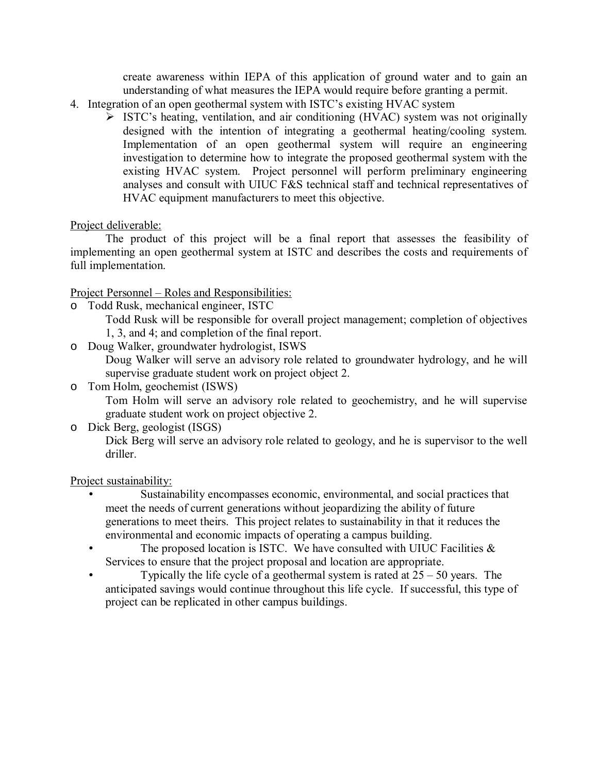create awareness within IEPA of this application of ground water and to gain an understanding of what measures the IEPA would require before granting a permit.

- 4. Integration of an open geothermal system with ISTC's existing HVAC system
	- $\triangleright$  ISTC's heating, ventilation, and air conditioning (HVAC) system was not originally designed with the intention of integrating a geothermal heating/cooling system. Implementation of an open geothermal system will require an engineering investigation to determine how to integrate the proposed geothermal system with the existing HVAC system. Project personnel will perform preliminary engineering analyses and consult with UIUC F&S technical staff and technical representatives of HVAC equipment manufacturers to meet this objective.

### Project deliverable:

 The product of this project will be a final report that assesses the feasibility of implementing an open geothermal system at ISTC and describes the costs and requirements of full implementation.

Project Personnel – Roles and Responsibilities:

o Todd Rusk, mechanical engineer, ISTC

Todd Rusk will be responsible for overall project management; completion of objectives 1, 3, and 4; and completion of the final report.

- o Doug Walker, groundwater hydrologist, ISWS Doug Walker will serve an advisory role related to groundwater hydrology, and he will supervise graduate student work on project object 2. o Tom Holm, geochemist (ISWS)
- Tom Holm will serve an advisory role related to geochemistry, and he will supervise graduate student work on project objective 2.
- o Dick Berg, geologist (ISGS)

Dick Berg will serve an advisory role related to geology, and he is supervisor to the well driller.

### Project sustainability:

- Sustainability encompasses economic, environmental, and social practices that meet the needs of current generations without jeopardizing the ability of future generations to meet theirs. This project relates to sustainability in that it reduces the environmental and economic impacts of operating a campus building.
- The proposed location is ISTC. We have consulted with UIUC Facilities  $\&$ Services to ensure that the project proposal and location are appropriate.
- Typically the life cycle of a geothermal system is rated at  $25 50$  years. The anticipated savings would continue throughout this life cycle. If successful, this type of project can be replicated in other campus buildings.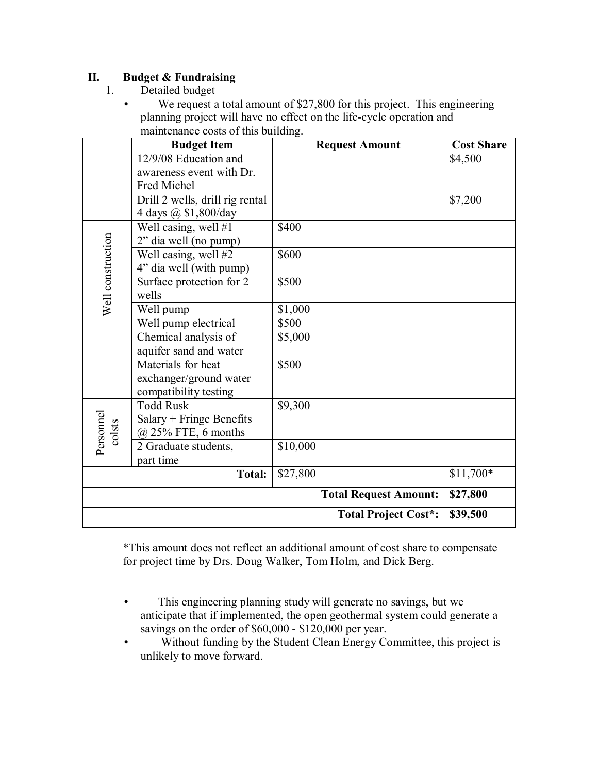## **II. Budget & Fundraising**

- 1. Detailed budget
	- We request a total amount of \$27,800 for this project. This engineering planning project will have no effect on the life-cycle operation and maintenance costs of this building.

|                              | <b>Budget Item</b>              | <b>Request Amount</b> | <b>Cost Share</b> |
|------------------------------|---------------------------------|-----------------------|-------------------|
|                              | 12/9/08 Education and           |                       | \$4,500           |
|                              | awareness event with Dr.        |                       |                   |
|                              | Fred Michel                     |                       |                   |
|                              | Drill 2 wells, drill rig rental |                       | \$7,200           |
|                              | 4 days @ \$1,800/day            |                       |                   |
| Well construction            | Well casing, well #1            | \$400                 |                   |
|                              | 2" dia well (no pump)           |                       |                   |
|                              | Well casing, well #2            | \$600                 |                   |
|                              | 4" dia well (with pump)         |                       |                   |
|                              | Surface protection for 2        | \$500                 |                   |
|                              | wells                           |                       |                   |
|                              | Well pump                       | \$1,000               |                   |
|                              | Well pump electrical            | \$500                 |                   |
|                              | Chemical analysis of            | \$5,000               |                   |
|                              | aquifer sand and water          |                       |                   |
|                              | Materials for heat              | \$500                 |                   |
|                              | exchanger/ground water          |                       |                   |
|                              | compatibility testing           |                       |                   |
| Personnel<br>colsts          | <b>Todd Rusk</b>                | \$9,300               |                   |
|                              | Salary + Fringe Benefits        |                       |                   |
|                              | $@$ 25% FTE, 6 months           |                       |                   |
|                              | 2 Graduate students,            | \$10,000              |                   |
|                              | part time                       |                       |                   |
| \$27,800<br><b>Total:</b>    |                                 |                       | $$11,700*$        |
| <b>Total Request Amount:</b> |                                 |                       | \$27,800          |
| <b>Total Project Cost*:</b>  |                                 |                       | \$39,500          |

\*This amount does not reflect an additional amount of cost share to compensate for project time by Drs. Doug Walker, Tom Holm, and Dick Berg.

- This engineering planning study will generate no savings, but we anticipate that if implemented, the open geothermal system could generate a savings on the order of \$60,000 - \$120,000 per year.
- Without funding by the Student Clean Energy Committee, this project is unlikely to move forward.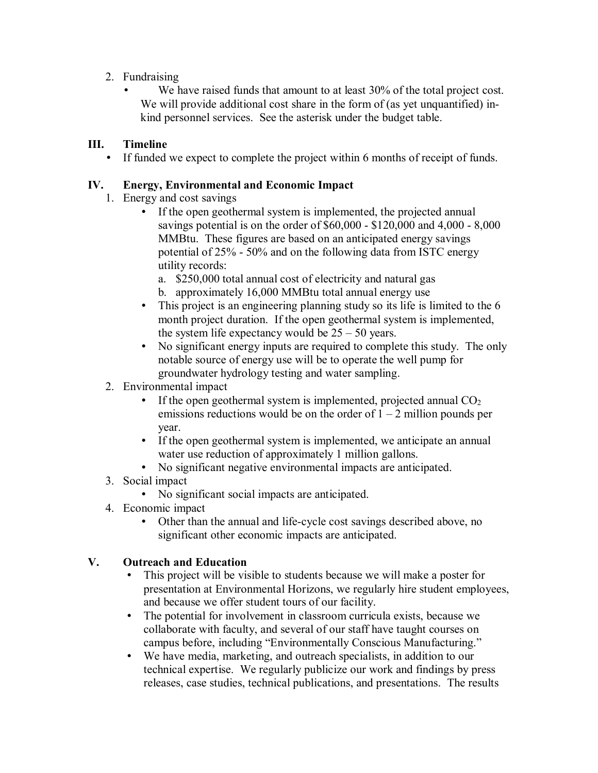- 2. Fundraising
	- We have raised funds that amount to at least 30% of the total project cost. We will provide additional cost share in the form of (as yet unquantified) inkind personnel services. See the asterisk under the budget table.

# **III. Timeline**

• If funded we expect to complete the project within 6 months of receipt of funds.

## **IV. Energy, Environmental and Economic Impact**

- 1. Energy and cost savings
	- If the open geothermal system is implemented, the projected annual savings potential is on the order of \$60,000 - \$120,000 and 4,000 - 8,000 MMBtu. These figures are based on an anticipated energy savings potential of 25% - 50% and on the following data from ISTC energy utility records:
		- a. \$250,000 total annual cost of electricity and natural gas
		- b. approximately 16,000 MMBtu total annual energy use
	- This project is an engineering planning study so its life is limited to the 6 month project duration. If the open geothermal system is implemented, the system life expectancy would be  $25 - 50$  years.
	- No significant energy inputs are required to complete this study. The only notable source of energy use will be to operate the well pump for groundwater hydrology testing and water sampling.

## 2. Environmental impact

- If the open geothermal system is implemented, projected annual  $CO<sub>2</sub>$ emissions reductions would be on the order of  $1 - 2$  million pounds per year.
- If the open geothermal system is implemented, we anticipate an annual water use reduction of approximately 1 million gallons.
- No significant negative environmental impacts are anticipated.
- 3. Social impact
	- No significant social impacts are anticipated.
- 4. Economic impact
	- Other than the annual and life-cycle cost savings described above, no significant other economic impacts are anticipated.

# **V. Outreach and Education**

- This project will be visible to students because we will make a poster for presentation at Environmental Horizons, we regularly hire student employees, and because we offer student tours of our facility.
- The potential for involvement in classroom curricula exists, because we collaborate with faculty, and several of our staff have taught courses on campus before, including "Environmentally Conscious Manufacturing."
- We have media, marketing, and outreach specialists, in addition to our technical expertise. We regularly publicize our work and findings by press releases, case studies, technical publications, and presentations. The results